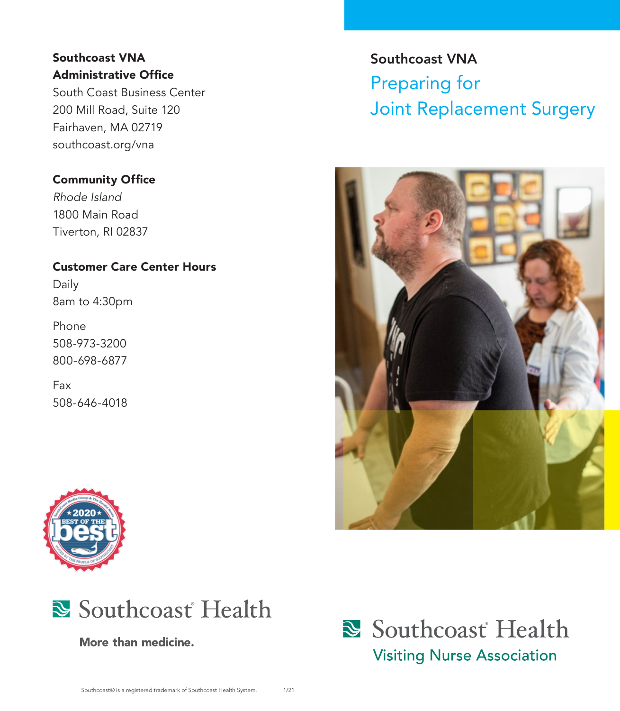#### Southcoast VNA Administrative Office

South Coast Business Center 200 Mill Road, Suite 120 Fairhaven, MA 02719 southcoast.org/vna

#### Community Office

*Rhode Island*  1800 Main Road Tiverton, RI 02837

#### Customer Care Center Hours

Daily 8am to 4:30pm

Phone 508-973-3200 800-698-6877

Fax 508-646-4018





More than medicine.

# Southcoast VNA Preparing for Joint Replacement Surgery